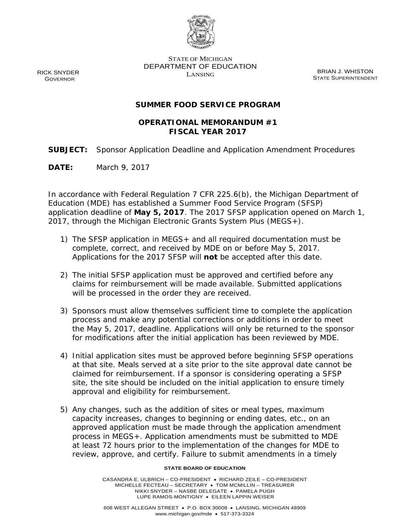

RICK SNYDER GOVERNOR

STATE OF MICHIGAN DEPARTMENT OF EDUCATION EXAMPLE BRIAN J. WHISTON

STATE SUPERINTENDENT

## **SUMMER FOOD SERVICE PROGRAM**

## **OPERATIONAL MEMORANDUM #1 FISCAL YEAR 2017**

**SUBJECT:** Sponsor Application Deadline and Application Amendment Procedures

**DATE:** March 9, 2017

In accordance with Federal Regulation 7 CFR 225.6(b), the Michigan Department of Education (MDE) has established a Summer Food Service Program (SFSP) application deadline of **May 5, 2017***.* The 2017 SFSP application opened on March 1, 2017, through the Michigan Electronic Grants System Plus (MEGS+).

- 1) The SFSP application in MEGS+ and all required documentation must be complete, correct, and received by MDE on or before May 5, 2017. Applications for the 2017 SFSP will **not** be accepted after this date.
- 2) The initial SFSP application must be approved and certified before any claims for reimbursement will be made available. Submitted applications will be processed in the order they are received.
- 3) Sponsors must allow themselves sufficient time to complete the application process and make any potential corrections or additions in order to meet the May 5, 2017, deadline. Applications will only be returned to the sponsor for modifications after the initial application has been reviewed by MDE.
- 4) Initial application sites must be approved before beginning SFSP operations at that site. Meals served at a site prior to the site approval date cannot be claimed for reimbursement. If a sponsor is considering operating a SFSP site, the site should be included on the initial application to ensure timely approval and eligibility for reimbursement.
- 5) Any changes, such as the addition of sites or meal types, maximum capacity increases, changes to beginning or ending dates, etc., on an approved application must be made through the application amendment process in MEGS+. Application amendments must be submitted to MDE at least 72 hours prior to the implementation of the changes for MDE to review, approve, and certify. Failure to submit amendments in a timely

## **STATE BOARD OF EDUCATION**

CASANDRA E. ULBRICH – CO-PRESIDENT • RICHARD ZEILE – CO-PRESIDENT MICHELLE FECTEAU – SECRETARY • TOM MCMILLIN – TREASURER NIKKI SNYDER – NASBE DELEGATE • PAMELA PUGH LUPE RAMOS-MONTIGNY • EILEEN LAPPIN WEISER